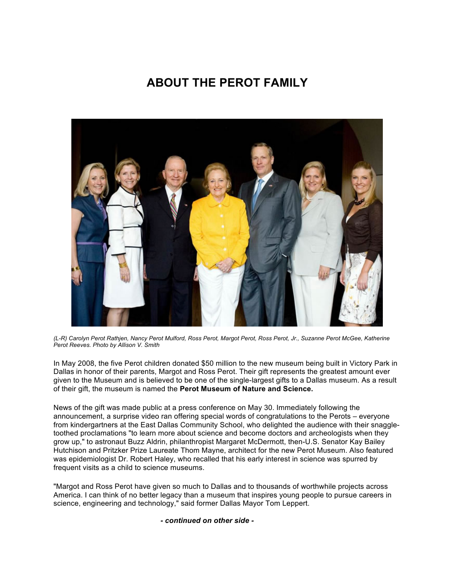# **ABOUT THE PEROT FAMILY**



*(L-R) Carolyn Perot Rathjen, Nancy Perot Mulford, Ross Perot, Margot Perot, Ross Perot, Jr., Suzanne Perot McGee, Katherine Perot Reeves. Photo by Allison V. Smith*

In May 2008, the five Perot children donated \$50 million to the new museum being built in Victory Park in Dallas in honor of their parents, Margot and Ross Perot. Their gift represents the greatest amount ever given to the Museum and is believed to be one of the single-largest gifts to a Dallas museum. As a result of their gift, the museum is named the **Perot Museum of Nature and Science.**

News of the gift was made public at a press conference on May 30. Immediately following the announcement, a surprise video ran offering special words of congratulations to the Perots – everyone from kindergartners at the East Dallas Community School, who delighted the audience with their snaggletoothed proclamations "to learn more about science and become doctors and archeologists when they grow up," to astronaut Buzz Aldrin, philanthropist Margaret McDermott, then-U.S. Senator Kay Bailey Hutchison and Pritzker Prize Laureate Thom Mayne, architect for the new Perot Museum. Also featured was epidemiologist Dr. Robert Haley, who recalled that his early interest in science was spurred by frequent visits as a child to science museums.

"Margot and Ross Perot have given so much to Dallas and to thousands of worthwhile projects across America. I can think of no better legacy than a museum that inspires young people to pursue careers in science, engineering and technology," said former Dallas Mayor Tom Leppert.

## *- continued on other side -*